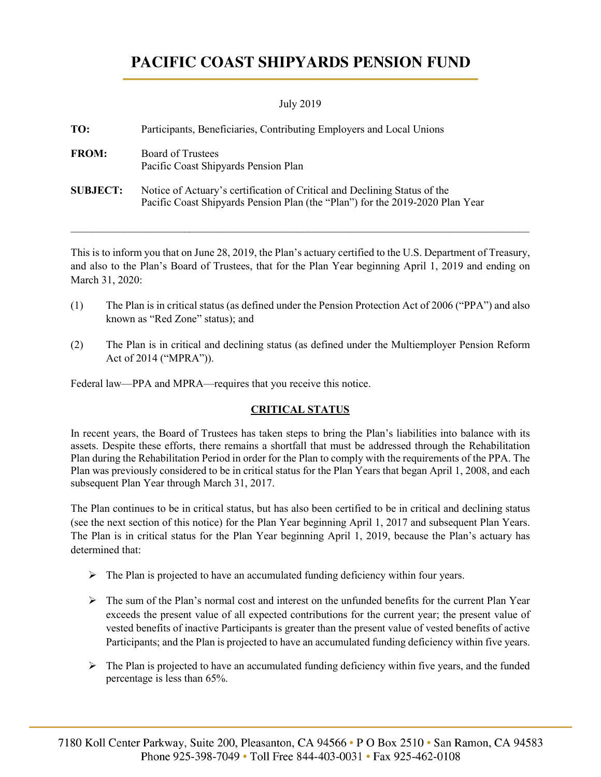# PACIFIC COAST SHIPYARDS PENSION FUND

### July 2019

| TO:             | Participants, Beneficiaries, Contributing Employers and Local Unions                                                                                       |
|-----------------|------------------------------------------------------------------------------------------------------------------------------------------------------------|
| <b>FROM:</b>    | <b>Board of Trustees</b><br>Pacific Coast Shipyards Pension Plan                                                                                           |
| <b>SUBJECT:</b> | Notice of Actuary's certification of Critical and Declining Status of the<br>Pacific Coast Shipyards Pension Plan (the "Plan") for the 2019-2020 Plan Year |

This is to inform you that on June 28, 2019, the Plan's actuary certified to the U.S. Department of Treasury, and also to the Plan's Board of Trustees, that for the Plan Year beginning April 1, 2019 and ending on March 31, 2020:

\_\_\_\_\_\_\_\_\_\_\_\_\_\_\_\_\_\_\_\_\_\_\_\_\_\_\_\_\_\_\_\_\_\_\_\_\_\_\_\_\_\_\_\_\_\_\_\_\_\_\_\_\_\_\_\_\_\_\_\_\_\_\_\_\_\_\_\_\_\_\_\_\_\_\_\_\_\_\_\_\_\_\_\_\_

- (1) The Plan is in critical status (as defined under the Pension Protection Act of 2006 ("PPA") and also known as "Red Zone" status); and
- (2) The Plan is in critical and declining status (as defined under the Multiemployer Pension Reform Act of 2014 ("MPRA")).

Federal law—PPA and MPRA—requires that you receive this notice.

## **CRITICAL STATUS**

In recent years, the Board of Trustees has taken steps to bring the Plan's liabilities into balance with its assets. Despite these efforts, there remains a shortfall that must be addressed through the Rehabilitation Plan during the Rehabilitation Period in order for the Plan to comply with the requirements of the PPA. The Plan was previously considered to be in critical status for the Plan Years that began April 1, 2008, and each subsequent Plan Year through March 31, 2017.

The Plan continues to be in critical status, but has also been certified to be in critical and declining status (see the next section of this notice) for the Plan Year beginning April 1, 2017 and subsequent Plan Years. The Plan is in critical status for the Plan Year beginning April 1, 2019, because the Plan's actuary has determined that:

- $\triangleright$  The Plan is projected to have an accumulated funding deficiency within four years.
- $\triangleright$  The sum of the Plan's normal cost and interest on the unfunded benefits for the current Plan Year exceeds the present value of all expected contributions for the current year; the present value of vested benefits of inactive Participants is greater than the present value of vested benefits of active Participants; and the Plan is projected to have an accumulated funding deficiency within five years.
- $\triangleright$  The Plan is projected to have an accumulated funding deficiency within five years, and the funded percentage is less than 65%.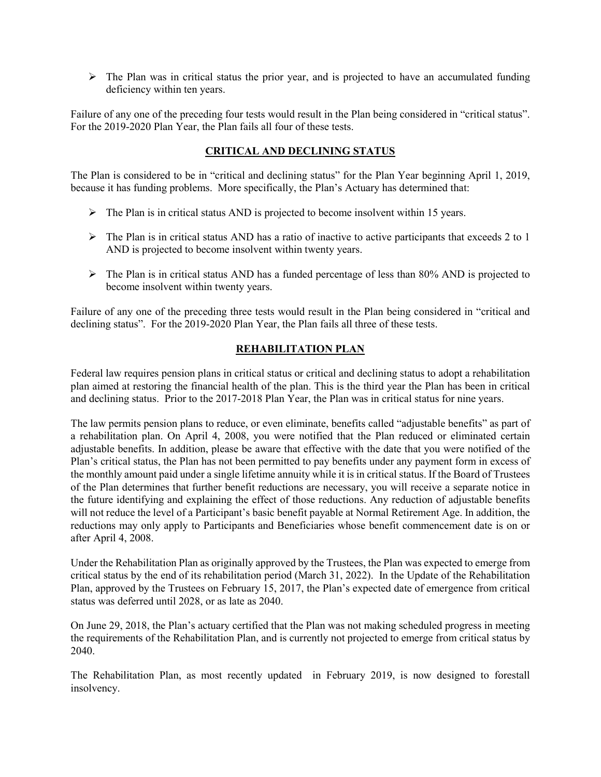$\triangleright$  The Plan was in critical status the prior year, and is projected to have an accumulated funding deficiency within ten years.

Failure of any one of the preceding four tests would result in the Plan being considered in "critical status". For the 2019-2020 Plan Year, the Plan fails all four of these tests.

## **CRITICAL AND DECLINING STATUS**

The Plan is considered to be in "critical and declining status" for the Plan Year beginning April 1, 2019, because it has funding problems. More specifically, the Plan's Actuary has determined that:

- $\triangleright$  The Plan is in critical status AND is projected to become insolvent within 15 years.
- $\triangleright$  The Plan is in critical status AND has a ratio of inactive to active participants that exceeds 2 to 1 AND is projected to become insolvent within twenty years.
- $\triangleright$  The Plan is in critical status AND has a funded percentage of less than 80% AND is projected to become insolvent within twenty years.

Failure of any one of the preceding three tests would result in the Plan being considered in "critical and declining status". For the 2019-2020 Plan Year, the Plan fails all three of these tests.

## **REHABILITATION PLAN**

Federal law requires pension plans in critical status or critical and declining status to adopt a rehabilitation plan aimed at restoring the financial health of the plan. This is the third year the Plan has been in critical and declining status. Prior to the 2017-2018 Plan Year, the Plan was in critical status for nine years.

The law permits pension plans to reduce, or even eliminate, benefits called "adjustable benefits" as part of a rehabilitation plan. On April 4, 2008, you were notified that the Plan reduced or eliminated certain adjustable benefits. In addition, please be aware that effective with the date that you were notified of the Plan's critical status, the Plan has not been permitted to pay benefits under any payment form in excess of the monthly amount paid under a single lifetime annuity while it is in critical status. If the Board of Trustees of the Plan determines that further benefit reductions are necessary, you will receive a separate notice in the future identifying and explaining the effect of those reductions. Any reduction of adjustable benefits will not reduce the level of a Participant's basic benefit payable at Normal Retirement Age. In addition, the reductions may only apply to Participants and Beneficiaries whose benefit commencement date is on or after April 4, 2008.

Under the Rehabilitation Plan as originally approved by the Trustees, the Plan was expected to emerge from critical status by the end of its rehabilitation period (March 31, 2022). In the Update of the Rehabilitation Plan, approved by the Trustees on February 15, 2017, the Plan's expected date of emergence from critical status was deferred until 2028, or as late as 2040.

On June 29, 2018, the Plan's actuary certified that the Plan was not making scheduled progress in meeting the requirements of the Rehabilitation Plan, and is currently not projected to emerge from critical status by 2040.

The Rehabilitation Plan, as most recently updated in February 2019, is now designed to forestall insolvency.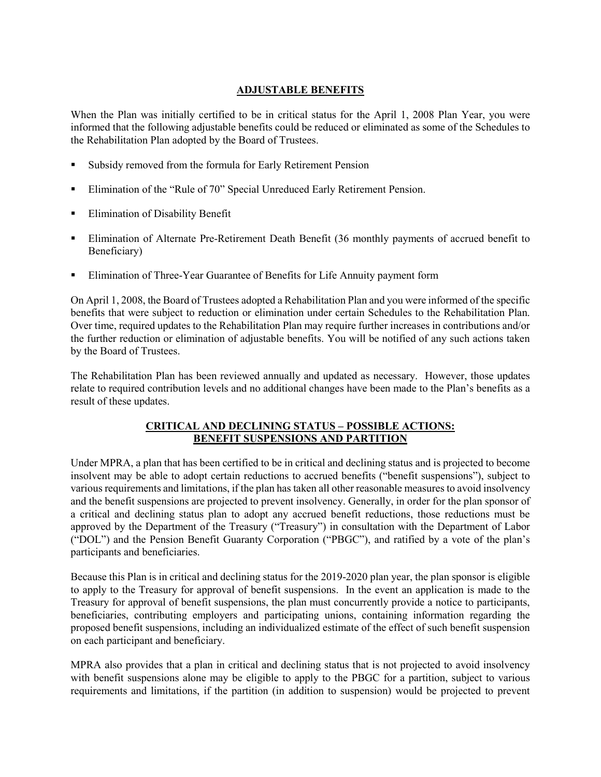## **ADJUSTABLE BENEFITS**

When the Plan was initially certified to be in critical status for the April 1, 2008 Plan Year, you were informed that the following adjustable benefits could be reduced or eliminated as some of the Schedules to the Rehabilitation Plan adopted by the Board of Trustees.

- Subsidy removed from the formula for Early Retirement Pension
- Elimination of the "Rule of 70" Special Unreduced Early Retirement Pension.
- **Elimination of Disability Benefit**
- Elimination of Alternate Pre-Retirement Death Benefit (36 monthly payments of accrued benefit to Beneficiary)
- Elimination of Three-Year Guarantee of Benefits for Life Annuity payment form

On April 1, 2008, the Board of Trustees adopted a Rehabilitation Plan and you were informed of the specific benefits that were subject to reduction or elimination under certain Schedules to the Rehabilitation Plan. Over time, required updates to the Rehabilitation Plan may require further increases in contributions and/or the further reduction or elimination of adjustable benefits. You will be notified of any such actions taken by the Board of Trustees.

The Rehabilitation Plan has been reviewed annually and updated as necessary. However, those updates relate to required contribution levels and no additional changes have been made to the Plan's benefits as a result of these updates.

### **CRITICAL AND DECLINING STATUS – POSSIBLE ACTIONS: BENEFIT SUSPENSIONS AND PARTITION**

Under MPRA, a plan that has been certified to be in critical and declining status and is projected to become insolvent may be able to adopt certain reductions to accrued benefits ("benefit suspensions"), subject to various requirements and limitations, if the plan has taken all other reasonable measures to avoid insolvency and the benefit suspensions are projected to prevent insolvency. Generally, in order for the plan sponsor of a critical and declining status plan to adopt any accrued benefit reductions, those reductions must be approved by the Department of the Treasury ("Treasury") in consultation with the Department of Labor ("DOL") and the Pension Benefit Guaranty Corporation ("PBGC"), and ratified by a vote of the plan's participants and beneficiaries.

Because this Plan is in critical and declining status for the 2019-2020 plan year, the plan sponsor is eligible to apply to the Treasury for approval of benefit suspensions. In the event an application is made to the Treasury for approval of benefit suspensions, the plan must concurrently provide a notice to participants, beneficiaries, contributing employers and participating unions, containing information regarding the proposed benefit suspensions, including an individualized estimate of the effect of such benefit suspension on each participant and beneficiary.

MPRA also provides that a plan in critical and declining status that is not projected to avoid insolvency with benefit suspensions alone may be eligible to apply to the PBGC for a partition, subject to various requirements and limitations, if the partition (in addition to suspension) would be projected to prevent